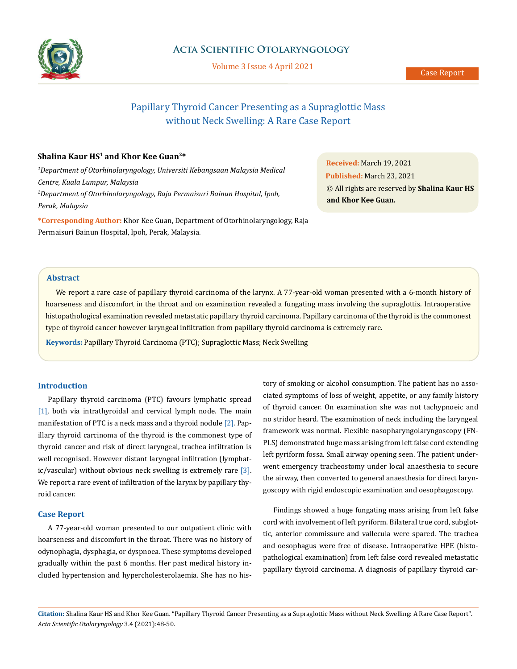

# **Acta Scientific Otolaryngology**

Volume 3 Issue 4 April 2021

# Papillary Thyroid Cancer Presenting as a Supraglottic Mass without Neck Swelling: A Rare Case Report

## **Shalina Kaur HS1 and Khor Kee Guan2\***

*1 Department of Otorhinolaryngology, Universiti Kebangsaan Malaysia Medical Centre, Kuala Lumpur, Malaysia 2 Department of Otorhinolaryngology, Raja Permaisuri Bainun Hospital, Ipoh, Perak, Malaysia*

**\*Corresponding Author:** Khor Kee Guan, Department of Otorhinolaryngology, Raja Permaisuri Bainun Hospital, Ipoh, Perak, Malaysia.

**Received:** March 19, 2021 **Published:** March 23, 2021 © All rights are reserved by **Shalina Kaur HS and Khor Kee Guan.**

#### **Abstract**

We report a rare case of papillary thyroid carcinoma of the larynx. A 77-year-old woman presented with a 6-month history of hoarseness and discomfort in the throat and on examination revealed a fungating mass involving the supraglottis. Intraoperative histopathological examination revealed metastatic papillary thyroid carcinoma. Papillary carcinoma of the thyroid is the commonest type of thyroid cancer however laryngeal infiltration from papillary thyroid carcinoma is extremely rare.

**Keywords:** Papillary Thyroid Carcinoma (PTC); Supraglottic Mass; Neck Swelling

#### **Introduction**

Papillary thyroid carcinoma (PTC) favours lymphatic spread [1], both via intrathyroidal and cervical lymph node. The main manifestation of PTC is a neck mass and a thyroid nodule [2]. Papillary thyroid carcinoma of the thyroid is the commonest type of thyroid cancer and risk of direct laryngeal, trachea infiltration is well recognised. However distant laryngeal infiltration (lymphatic/vascular) without obvious neck swelling is extremely rare  $[3]$ . We report a rare event of infiltration of the larynx by papillary thyroid cancer.

#### **Case Report**

A 77-year-old woman presented to our outpatient clinic with hoarseness and discomfort in the throat. There was no history of odynophagia, dysphagia, or dyspnoea. These symptoms developed gradually within the past 6 months. Her past medical history included hypertension and hypercholesterolaemia. She has no his-

tory of smoking or alcohol consumption. The patient has no associated symptoms of loss of weight, appetite, or any family history of thyroid cancer. On examination she was not tachypnoeic and no stridor heard. The examination of neck including the laryngeal framework was normal. Flexible nasopharyngolaryngoscopy (FN-PLS) demonstrated huge mass arising from left false cord extending left pyriform fossa. Small airway opening seen. The patient underwent emergency tracheostomy under local anaesthesia to secure the airway, then converted to general anaesthesia for direct laryngoscopy with rigid endoscopic examination and oesophagoscopy.

Findings showed a huge fungating mass arising from left false cord with involvement of left pyriform. Bilateral true cord, subglottic, anterior commissure and vallecula were spared. The trachea and oesophagus were free of disease. Intraoperative HPE (histopathological examination) from left false cord revealed metastatic papillary thyroid carcinoma. A diagnosis of papillary thyroid car-

**Citation:** Shalina Kaur HS and Khor Kee Guan*.* "Papillary Thyroid Cancer Presenting as a Supraglottic Mass without Neck Swelling: A Rare Case Report". *Acta Scientific Otolaryngology* 3.4 (2021):48-50.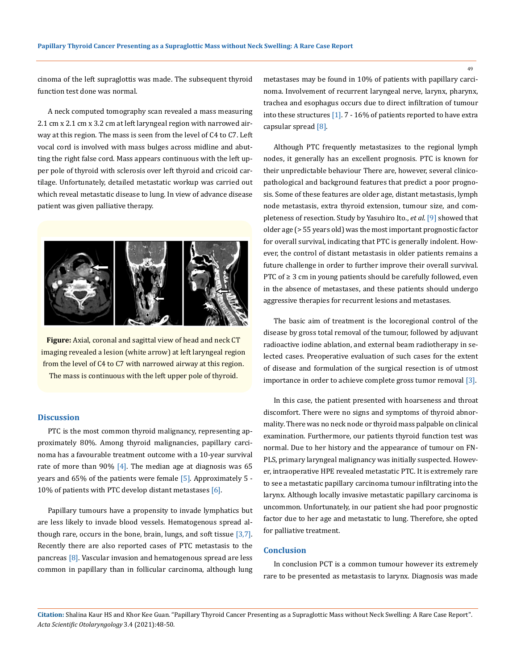cinoma of the left supraglottis was made. The subsequent thyroid function test done was normal.

A neck computed tomography scan revealed a mass measuring 2.1 cm x 2.1 cm x 3.2 cm at left laryngeal region with narrowed airway at this region. The mass is seen from the level of C4 to C7. Left vocal cord is involved with mass bulges across midline and abutting the right false cord. Mass appears continuous with the left upper pole of thyroid with sclerosis over left thyroid and cricoid cartilage. Unfortunately, detailed metastatic workup was carried out which reveal metastatic disease to lung. In view of advance disease patient was given palliative therapy.



**Figure:** Axial, coronal and sagittal view of head and neck CT imaging revealed a lesion (white arrow) at left laryngeal region from the level of C4 to C7 with narrowed airway at this region. The mass is continuous with the left upper pole of thyroid.

#### **Discussion**

PTC is the most common thyroid malignancy, representing approximately 80%. Among thyroid malignancies, papillary carcinoma has a favourable treatment outcome with a 10-year survival rate of more than 90%  $[4]$ . The median age at diagnosis was 65 years and 65% of the patients were female [5]. Approximately 5 - 10% of patients with PTC develop distant metastases [6].

Papillary tumours have a propensity to invade lymphatics but are less likely to invade blood vessels. Hematogenous spread although rare, occurs in the bone, brain, lungs, and soft tissue  $[3,7]$ . Recently there are also reported cases of PTC metastasis to the pancreas [8]. Vascular invasion and hematogenous spread are less common in papillary than in follicular carcinoma, although lung metastases may be found in 10% of patients with papillary carcinoma. Involvement of recurrent laryngeal nerve, larynx, pharynx, trachea and esophagus occurs due to direct infiltration of tumour into these structures [1]. 7 - 16% of patients reported to have extra capsular spread [8].

Although PTC frequently metastasizes to the regional lymph nodes, it generally has an excellent prognosis. PTC is known for their unpredictable behaviour There are, however, several clinicopathological and background features that predict a poor prognosis. Some of these features are older age, distant metastasis, lymph node metastasis, extra thyroid extension, tumour size, and completeness of resection. Study by Yasuhiro Ito., *et al*. [9] showed that older age (> 55 years old) was the most important prognostic factor for overall survival, indicating that PTC is generally indolent. However, the control of distant metastasis in older patients remains a future challenge in order to further improve their overall survival. PTC of ≥ 3 cm in young patients should be carefully followed, even in the absence of metastases, and these patients should undergo aggressive therapies for recurrent lesions and metastases.

The basic aim of treatment is the locoregional control of the disease by gross total removal of the tumour, followed by adjuvant radioactive iodine ablation, and external beam radiotherapy in selected cases. Preoperative evaluation of such cases for the extent of disease and formulation of the surgical resection is of utmost importance in order to achieve complete gross tumor removal [3].

In this case, the patient presented with hoarseness and throat discomfort. There were no signs and symptoms of thyroid abnormality. There was no neck node or thyroid mass palpable on clinical examination. Furthermore, our patients thyroid function test was normal. Due to her history and the appearance of tumour on FN-PLS, primary laryngeal malignancy was initially suspected. However, intraoperative HPE revealed metastatic PTC. It is extremely rare to see a metastatic papillary carcinoma tumour infiltrating into the larynx. Although locally invasive metastatic papillary carcinoma is uncommon. Unfortunately, in our patient she had poor prognostic factor due to her age and metastatic to lung. Therefore, she opted for palliative treatment.

#### **Conclusion**

In conclusion PCT is a common tumour however its extremely rare to be presented as metastasis to larynx. Diagnosis was made

**Citation:** Shalina Kaur HS and Khor Kee Guan*.* "Papillary Thyroid Cancer Presenting as a Supraglottic Mass without Neck Swelling: A Rare Case Report". *Acta Scientific Otolaryngology* 3.4 (2021):48-50.

49